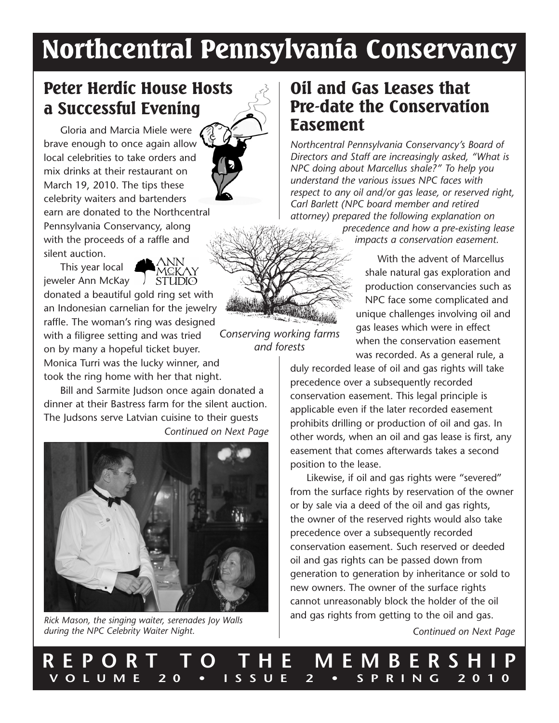# Northcentral Pennsylvania Conservancy

# Peter Herdic House Hosts a Successful Evening

Gloria and Marcia Miele were brave enough to once again allow local celebrities to take orders and mix drinks at their restaurant on March 19, 2010. The tips these celebrity waiters and bartenders earn are donated to the Northcentral Pennsylvania Conservancy, along with the proceeds of a raffle and silent auction.





donated a beautiful gold ring set with an Indonesian carnelian for the jewelry raffle. The woman's ring was designed with a filigree setting and was tried on by many a hopeful ticket buyer. Monica Turri was the lucky winner, and took the ring home with her that night.

Bill and Sarmite Judson once again donated a dinner at their Bastress farm for the silent auction. The Judsons serve Latvian cuisine to their guests *Continued on Next Page*



*Rick Mason, the singing waiter, serenades Joy Walls during the NPC Celebrity Waiter Night.*

### Oil and Gas Leases that Pre-date the Conservation Easement

*Northcentral Pennsylvania Conservancy's Board of Directors and Staff are increasingly asked, "What is NPC doing about Marcellus shale?" To help you understand the various issues NPC faces with respect to any oil and/or gas lease, or reserved right, Carl Barlett (NPC board member and retired attorney) prepared the following explanation on* 

*precedence and how a pre-existing lease impacts a conservation easement.*

With the advent of Marcellus shale natural gas exploration and production conservancies such as NPC face some complicated and unique challenges involving oil and gas leases which were in effect when the conservation easement was recorded. As a general rule, a

duly recorded lease of oil and gas rights will take precedence over a subsequently recorded conservation easement. This legal principle is applicable even if the later recorded easement prohibits drilling or production of oil and gas. In other words, when an oil and gas lease is first, any easement that comes afterwards takes a second position to the lease.

Likewise, if oil and gas rights were "severed" from the surface rights by reservation of the owner or by sale via a deed of the oil and gas rights, the owner of the reserved rights would also take precedence over a subsequently recorded conservation easement. Such reserved or deeded oil and gas rights can be passed down from generation to generation by inheritance or sold to new owners. The owner of the surface rights cannot unreasonably block the holder of the oil and gas rights from getting to the oil and gas.

*Continued on Next Page*



*Conserving working farms and forests*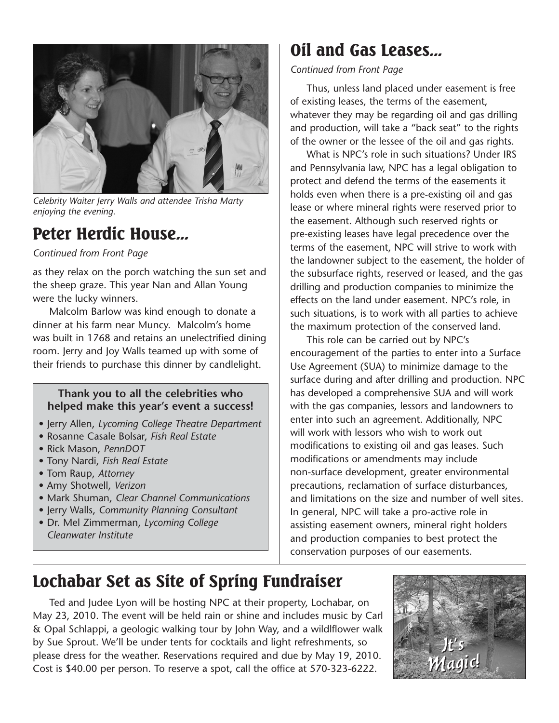

*Celebrity Waiter Jerry Walls and attendee Trisha Marty enjoying the evening.*

## Peter Herdic House...

*Continued from Front Page*

as they relax on the porch watching the sun set and the sheep graze. This year Nan and Allan Young were the lucky winners.

Malcolm Barlow was kind enough to donate a dinner at his farm near Muncy. Malcolm's home was built in 1768 and retains an unelectrified dining room. Jerry and Joy Walls teamed up with some of their friends to purchase this dinner by candlelight.

#### **Thank you to all the celebrities who helped make this year's event a success!**

- Jerry Allen, *Lycoming College Theatre Department*
- Rosanne Casale Bolsar, *Fish Real Estate*
- Rick Mason, *PennDOT*
- Tony Nardi, *Fish Real Estate*
- Tom Raup, *Attorney*
- Amy Shotwell, *Verizon*
- Mark Shuman, *Clear Channel Communications*
- Jerry Walls, *Community Planning Consultant* • Dr. Mel Zimmerman, *Lycoming College Cleanwater Institute*

# Oil and Gas Leases...

#### *Continued from Front Page*

Thus, unless land placed under easement is free of existing leases, the terms of the easement, whatever they may be regarding oil and gas drilling and production, will take a "back seat" to the rights of the owner or the lessee of the oil and gas rights.

What is NPC's role in such situations? Under IRS and Pennsylvania law, NPC has a legal obligation to protect and defend the terms of the easements it holds even when there is a pre-existing oil and gas lease or where mineral rights were reserved prior to the easement. Although such reserved rights or pre-existing leases have legal precedence over the terms of the easement, NPC will strive to work with the landowner subject to the easement, the holder of the subsurface rights, reserved or leased, and the gas drilling and production companies to minimize the effects on the land under easement. NPC's role, in such situations, is to work with all parties to achieve the maximum protection of the conserved land.

This role can be carried out by NPC's encouragement of the parties to enter into a Surface Use Agreement (SUA) to minimize damage to the surface during and after drilling and production. NPC has developed a comprehensive SUA and will work with the gas companies, lessors and landowners to enter into such an agreement. Additionally, NPC will work with lessors who wish to work out modifications to existing oil and gas leases. Such modifications or amendments may include non-surface development, greater environmental precautions, reclamation of surface disturbances, and limitations on the size and number of well sites. In general, NPC will take a pro-active role in assisting easement owners, mineral right holders and production companies to best protect the conservation purposes of our easements.

# Lochabar Set as Site of Spring Fundraiser

Ted and Judee Lyon will be hosting NPC at their property, Lochabar, on May 23, 2010. The event will be held rain or shine and includes music by Carl & Opal Schlappi, a geologic walking tour by John Way, and a wildlflower walk by Sue Sprout. We'll be under tents for cocktails and light refreshments, so please dress for the weather. Reservations required and due by May 19, 2010. Cost is \$40.00 per person. To reserve a spot, call the office at 570-323-6222.

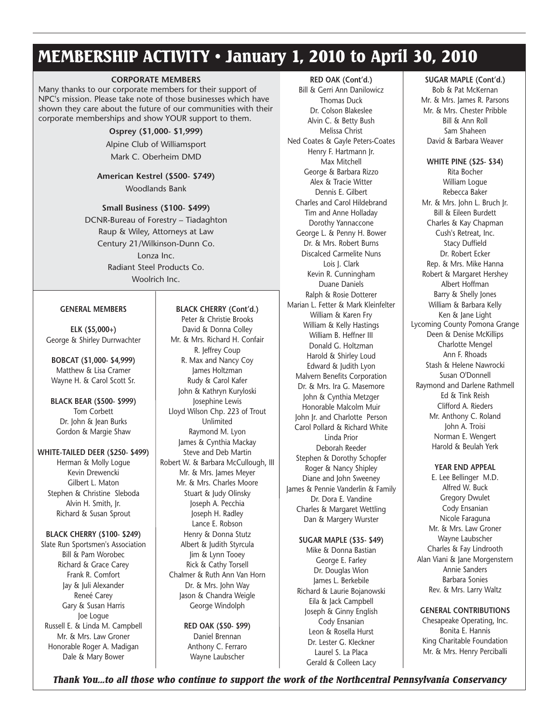# MEMBERSHIP ACTIVITY • January 1, 2010 to April 30, 2010

#### **CORPORATE MEMBERS**

Many thanks to our corporate members for their support of NPC's mission. Please take note of those businesses which have shown they care about the future of our communities with their corporate memberships and show YOUR support to them.

> **Osprey (\$1,000- \$1,999)** Alpine Club of Williamsport Mark C. Oberheim DMD

**American Kestrel (\$500- \$749)** Woodlands Bank

**Small Business (\$100- \$499)** DCNR-Bureau of Forestry – Tiadaghton Raup & Wiley, Attorneys at Law Century 21/Wilkinson-Dunn Co. Lonza Inc. Radiant Steel Products Co. Woolrich Inc.

#### **GENERAL MEMBERS**

**ELK (\$5,000+)** George & Shirley Durrwachter

**BOBCAT (\$1,000- \$4,999)** Matthew & Lisa Cramer Wayne H. & Carol Scott Sr.

**BLACK BEAR (\$500- \$999)** Tom Corbett Dr. John & Jean Burks Gordon & Margie Shaw

#### **WHITE-TAILED DEER (\$250- \$499)**

Herman & Molly Logue Kevin Drewencki Gilbert L. Maton Stephen & Christine Sleboda Alvin H. Smith, Jr. Richard & Susan Sprout

#### **BLACK CHERRY (\$100- \$249)**

Slate Run Sportsmen's Association Bill & Pam Worobec Richard & Grace Carey Frank R. Comfort Jay & Juli Alexander Reneé Carey Gary & Susan Harris Joe Logue Russell E. & Linda M. Campbell Mr. & Mrs. Law Groner Honorable Roger A. Madigan Dale & Mary Bower

#### **BLACK CHERRY (Cont'd.)**

Peter & Christie Brooks David & Donna Colley Mr. & Mrs. Richard H. Confair R. Jeffrey Coup R. Max and Nancy Coy James Holtzman Rudy & Carol Kafer John & Kathryn Kuryloski Josephine Lewis Lloyd Wilson Chp. 223 of Trout Unlimited Raymond M. Lyon James & Cynthia Mackay Steve and Deb Martin Robert W. & Barbara McCullough, III Mr. & Mrs. James Meyer Mr. & Mrs. Charles Moore Stuart & Judy Olinsky Joseph A. Pecchia Joseph H. Radley Lance E. Robson Henry & Donna Stutz Albert & Judith Styrcula Jim & Lynn Tooey Rick & Cathy Torsell Chalmer & Ruth Ann Van Horn Dr. & Mrs. John Way Jason & Chandra Weigle George Windolph

> **RED OAK (\$50- \$99)** Daniel Brennan Anthony C. Ferraro Wayne Laubscher

**RED OAK (Cont'd.)** Bill & Gerri Ann Danilowicz Thomas Duck Dr. Colson Blakeslee Alvin C. & Betty Bush Melissa Christ Ned Coates & Gayle Peters-Coates Henry F. Hartmann Jr. Max Mitchell George & Barbara Rizzo Alex & Tracie Witter Dennis E. Gilbert Charles and Carol Hildebrand Tim and Anne Holladay Dorothy Yannaccone George L. & Penny H. Bower Dr. & Mrs. Robert Burns Discalced Carmelite Nuns Lois J. Clark Kevin R. Cunningham Duane Daniels Ralph & Rosie Dotterer Marian L. Fetter & Mark Kleinfelter William & Karen Fry William & Kelly Hastings William B. Heffner III Donald G. Holtzman Harold & Shirley Loud Edward & Judith Lyon Malvern Benefits Corporation Dr. & Mrs. Ira G. Masemore John & Cynthia Metzger Honorable Malcolm Muir John Jr. and Charlotte Person Carol Pollard & Richard White Linda Prior Deborah Reeder Stephen & Dorothy Schopfer Roger & Nancy Shipley Diane and John Sweeney James & Pennie Vanderlin & Family Dr. Dora E. Vandine Charles & Margaret Wettling Dan & Margery Wurster

#### **SUGAR MAPLE (\$35- \$49)**

Mike & Donna Bastian George E. Farley Dr. Douglas Wion James L. Berkebile Richard & Laurie Bojanowski Eila & Jack Campbell Joseph & Ginny English Cody Ensanian Leon & Rosella Hurst Dr. Lester G. Kleckner Laurel S. La Placa Gerald & Colleen Lacy

#### **SUGAR MAPLE (Cont'd.)**

Bob & Pat McKernan Mr. & Mrs. James R. Parsons Mr. & Mrs. Chester Pribble Bill & Ann Roll Sam Shaheen David & Barbara Weaver

#### **WHITE PINE (\$25- \$34)**

Rita Bocher William Logue Rebecca Baker Mr. & Mrs. John L. Bruch Ir. Bill & Eileen Burdett Charles & Kay Chapman Cush's Retreat, Inc. Stacy Duffield Dr. Robert Ecker Rep. & Mrs. Mike Hanna Robert & Margaret Hershey Albert Hoffman Barry & Shelly Jones William & Barbara Kelly Ken & Jane Light Lycoming County Pomona Grange Deen & Denise McKillips Charlotte Mengel Ann F. Rhoads Stash & Helene Nawrocki Susan O'Donnell Raymond and Darlene Rathmell Ed & Tink Reish Clifford A. Rieders Mr. Anthony C. Roland John A. Troisi Norman E. Wengert Harold & Beulah Yerk

#### **YEAR END APPEAL**

E. Lee Bellinger M.D. Alfred W. Buck Gregory Dwulet Cody Ensanian Nicole Faraguna Mr. & Mrs. Law Groner Wayne Laubscher Charles & Fay Lindrooth Alan Viani & Jane Morgenstern Annie Sanders Barbara Sonies Rev. & Mrs. Larry Waltz

#### **GENERAL CONTRIBUTIONS**

Chesapeake Operating, Inc. Bonita E. Hannis King Charitable Foundation Mr. & Mrs. Henry Perciballi

*Thank You...to all those who continue to support the work of the Northcentral Pennsylvania Conservancy*